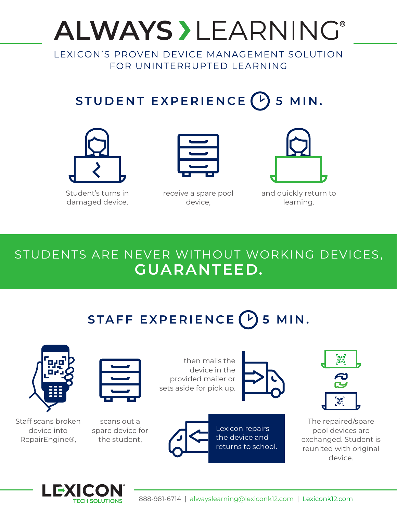# **ALWAYS > LEARNING®**

LEXICON'S PROVEN DEVICE MANAGEMENT SOLUTION FOR UNINTERRUPTED LEARNING

## **STUDENT EXPERIENCE 5 MIN.**



Student's turns in damaged device,



receive a spare pool device,



and quickly return to learning.

### STUDENTS ARE NEVER WITHOUT WORKING DEVICES, **GUARANTEED.**

## **STAFF EXPERIENCE 5 MIN.**



Staff scans broken device into RepairEngine®,

scans out a spare device for the student,

then mails the device in the provided mailer or sets aside for pick up.





The repaired/spare pool devices are exchanged. Student is reunited with original device.



Lexicon repairs the device and returns to school.